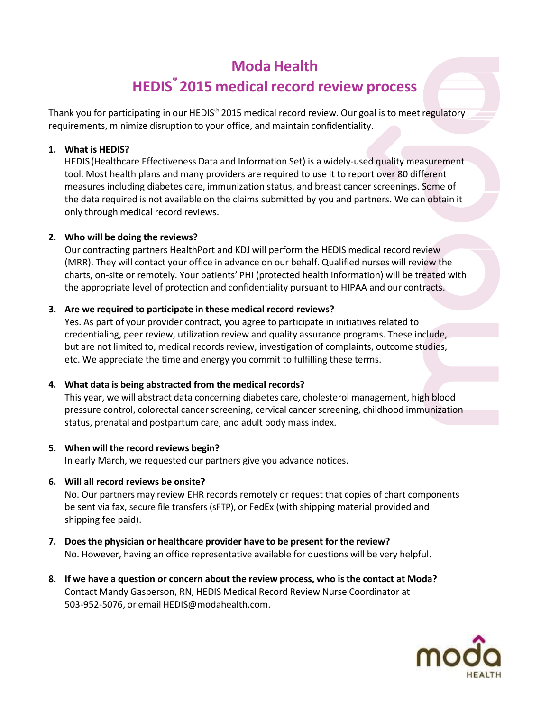# **Moda Health HEDIS ® 2015 medical record review process**

Thank you for participating in our HEDIS® 2015 medical record review. Our goal is to meet regulatory requirements, minimize disruption to your office, and maintain confidentiality.

## **1. What is HEDIS?**

HEDIS (Healthcare Effectiveness Data and Information Set) is a widely-used quality measurement tool. Most health plans and many providers are required to use it to report over 80 different measures including diabetes care, immunization status, and breast cancer screenings. Some of the data required is not available on the claims submitted by you and partners. We can obtain it only through medical record reviews.

## **2. Who will be doing the reviews?**

Our contracting partners HealthPort and KDJ will perform the HEDIS medical record review (MRR). They will contact your office in advance on our behalf. Qualified nurses will review the charts, on-site or remotely. Your patients' PHI (protected health information) will be treated with the appropriate level of protection and confidentiality pursuant to HIPAA and our contracts.

## **3. Are we required to participate in these medical record reviews?**

Yes. As part of your provider contract, you agree to participate in initiatives related to credentialing, peer review, utilization review and quality assurance programs. These include, but are not limited to, medical records review, investigation of complaints, outcome studies, etc. We appreciate the time and energy you commit to fulfilling these terms.

## **4. What data is being abstracted from the medical records?**

This year, we will abstract data concerning diabetes care, cholesterol management, high blood pressure control, colorectal cancer screening, cervical cancer screening, childhood immunization status, prenatal and postpartum care, and adult body mass index.

## **5. When will the record reviews begin?**

In early March, we requested our partners give you advance notices.

## **6. Will all record reviews be onsite?**

No. Our partners may review EHR records remotely or request that copies of chart components be sent via fax, secure file transfers (sFTP), or FedEx (with shipping material provided and shipping fee paid).

- **7. Does the physician or healthcare provider have to be present for the review?** No. However, having an office representative available for questions will be very helpful.
- **8. If we have a question or concern about the review process, who isthe contact at Moda?** Contact Mandy Gasperson, RN, HEDIS Medical Record Review Nurse Coordinator at 503-952-5076, or email [HEDIS@modahealth.com.](mailto:HEDIS@modahealth.com)